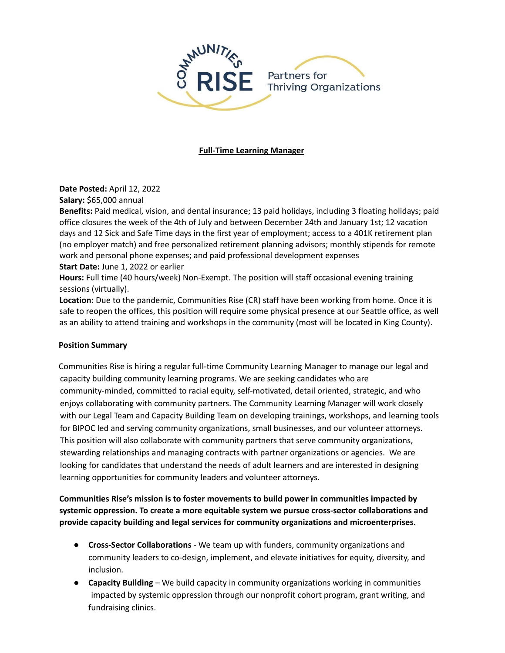

## **Full-Time Learning Manager**

**Date Posted:** April 12, 2022

**Salary:** \$65,000 annual

**Benefits:** Paid medical, vision, and dental insurance; 13 paid holidays, including 3 floating holidays; paid office closures the week of the 4th of July and between December 24th and January 1st; 12 vacation days and 12 Sick and Safe Time days in the first year of employment; access to a 401K retirement plan (no employer match) and free personalized retirement planning advisors; monthly stipends for remote work and personal phone expenses; and paid professional development expenses

**Start Date:** June 1, 2022 or earlier

**Hours:** Full time (40 hours/week) Non-Exempt. The position will staff occasional evening training sessions (virtually).

**Location:** Due to the pandemic, Communities Rise (CR) staff have been working from home. Once it is safe to reopen the offices, this position will require some physical presence at our Seattle office, as well as an ability to attend training and workshops in the community (most will be located in King County).

## **Position Summary**

Communities Rise is hiring a regular full-time Community Learning Manager to manage our legal and capacity building community learning programs. We are seeking candidates who are community-minded, committed to racial equity, self-motivated, detail oriented, strategic, and who enjoys collaborating with community partners. The Community Learning Manager will work closely with our Legal Team and Capacity Building Team on developing trainings, workshops, and learning tools for BIPOC led and serving community organizations, small businesses, and our volunteer attorneys. This position will also collaborate with community partners that serve community organizations, stewarding relationships and managing contracts with partner organizations or agencies. We are looking for candidates that understand the needs of adult learners and are interested in designing learning opportunities for community leaders and volunteer attorneys.

**Communities Rise's mission is to foster movements to build power in communities impacted by systemic oppression. To create a more equitable system we pursue cross-sector collaborations and provide capacity building and legal services for community organizations and microenterprises.**

- **Cross-Sector Collaborations** We team up with funders, community organizations and community leaders to co-design, implement, and elevate initiatives for equity, diversity, and inclusion.
- **Capacity Building** We build capacity in community organizations working in communities impacted by systemic oppression through our nonprofit cohort program, grant writing, and fundraising clinics.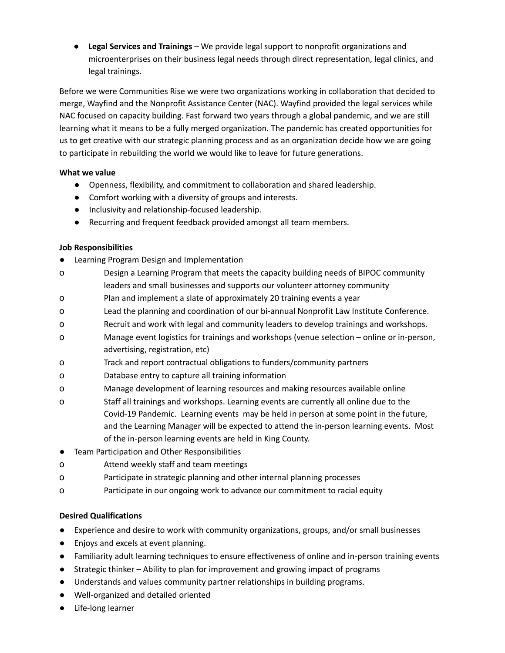● **Legal Services and Trainings** – We provide legal support to nonprofit organizations and microenterprises on their business legal needs through direct representation, legal clinics, and legal trainings.

Before we were Communities Rise we were two organizations working in collaboration that decided to merge, Wayfind and the Nonprofit Assistance Center (NAC). Wayfind provided the legal services while NAC focused on capacity building. Fast forward two years through a global pandemic, and we are still learning what it means to be a fully merged organization. The pandemic has created opportunities for us to get creative with our strategic planning process and as an organization decide how we are going to participate in rebuilding the world we would like to leave for future generations.

# **What we value**

- Openness, flexibility, and commitment to collaboration and shared leadership.
- Comfort working with a diversity of groups and interests.
- Inclusivity and relationship-focused leadership.
- Recurring and frequent feedback provided amongst all team members.

## **Job Responsibilities**

- Learning Program Design and Implementation
- o Design a Learning Program that meets the capacity building needs of BIPOC community leaders and small businesses and supports our volunteer attorney community
- o Plan and implement a slate of approximately 20 training events a year
- o Lead the planning and coordination of our bi-annual Nonprofit Law Institute Conference.
- o Recruit and work with legal and community leaders to develop trainings and workshops.
- o Manage event logistics for trainings and workshops (venue selection online or in-person, advertising, registration, etc)
- o Track and report contractual obligations to funders/community partners
- o Database entry to capture all training information
- o Manage development of learning resources and making resources available online
- o Staff all trainings and workshops. Learning events are currently all online due to the Covid-19 Pandemic. Learning events may be held in person at some point in the future, and the Learning Manager will be expected to attend the in-person learning events. Most of the in-person learning events are held in King County.
- Team Participation and Other Responsibilities
- o Attend weekly staff and team meetings
- o Participate in strategic planning and other internal planning processes
- o Participate in our ongoing work to advance our commitment to racial equity

## **Desired Qualifications**

- Experience and desire to work with community organizations, groups, and/or small businesses
- Enjoys and excels at event planning.
- Familiarity adult learning techniques to ensure effectiveness of online and in-person training events
- Strategic thinker Ability to plan for improvement and growing impact of programs
- Understands and values community partner relationships in building programs.
- Well-organized and detailed oriented
- Life-long learner